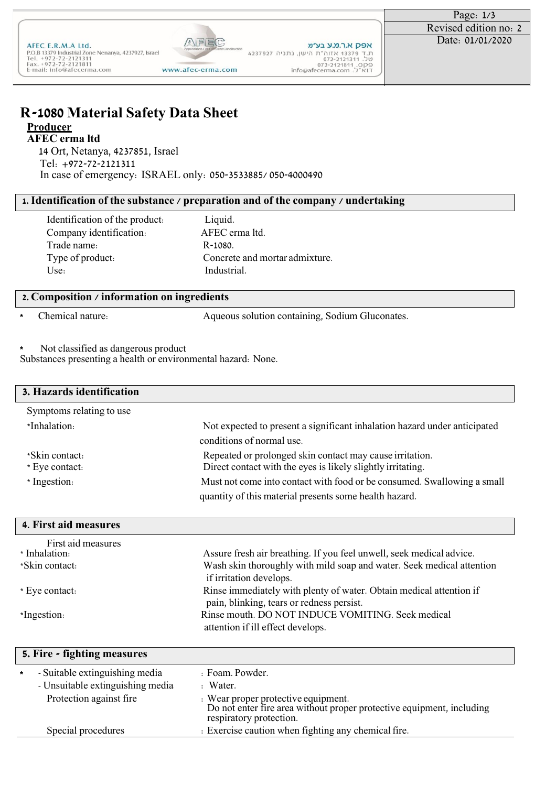## **R-1080 Material Safety Data Sheet Producer**

#### **AFEC erma ltd**

14 Ort, Netanya, 4237851, Israel Tel: +972-72-2121311 In case of emergency: ISRAEL only: 050-3533885/ 050-4000490

### **1. Identification of the substance / preparation and of the company / undertaking**

Identification of the product: Liquid. Company identification: AFEC erma ltd. Trade name: R-1080.

Type of product: Concrete and mortar admixture.<br>
Use: Industrial. Industrial.

#### **2. Composition / information on ingredients**

**\*** Chemical nature: Aqueous solution containing, Sodium Gluconates.

**\*** Not classified as dangerous product

Substances presenting a health or environmental hazard: None.

| 3. Hazards identification |                                                                           |
|---------------------------|---------------------------------------------------------------------------|
| Symptoms relating to use  |                                                                           |
| *Inhalation:              | Not expected to present a significant inhalation hazard under anticipated |
|                           | conditions of normal use.                                                 |
| *Skin contact:            | Repeated or prolonged skin contact may cause irritation.                  |
| * Eye contact:            | Direct contact with the eyes is likely slightly irritating.               |
| * Ingestion:              | Must not come into contact with food or be consumed. Swallowing a small   |
|                           | quantity of this material presents some health hazard.                    |

| 4. First aid measures |                                                                                                                  |
|-----------------------|------------------------------------------------------------------------------------------------------------------|
| First aid measures    |                                                                                                                  |
| * Inhalation:         | Assure fresh air breathing. If you feel unwell, seek medical advice.                                             |
| *Skin contact:        | Wash skin thoroughly with mild soap and water. Seek medical attention<br>if irritation develops.                 |
| * Eye contact:        | Rinse immediately with plenty of water. Obtain medical attention if<br>pain, blinking, tears or redness persist. |
| *Ingestion:           | Rinse mouth. DO NOT INDUCE VOMITING. Seek medical<br>attention if ill effect develops.                           |

|         | 5. Fire - fighting measures                                        |                                                                                                                                                  |  |
|---------|--------------------------------------------------------------------|--------------------------------------------------------------------------------------------------------------------------------------------------|--|
| $\star$ | - Suitable extinguishing media<br>- Unsuitable extinguishing media | : Foam. Powder.<br>: Water.                                                                                                                      |  |
|         | Protection against fire                                            | Example to Wear proper protective equipment.<br>Do not enter fire area without proper protective equipment, including<br>respiratory protection. |  |
|         | Special procedures                                                 | : Exercise caution when fighting any chemical fire.                                                                                              |  |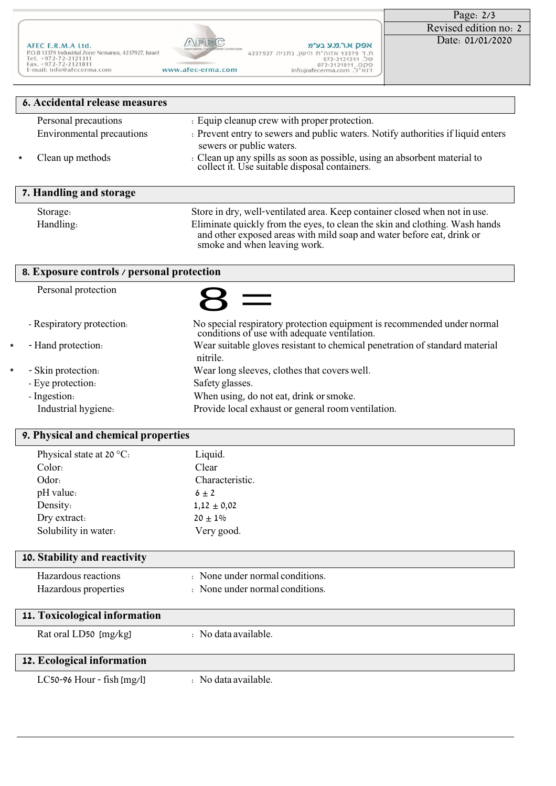|                                                                                                                                                            |                                                              |                                                                                                                           | Page: $2/3$           |
|------------------------------------------------------------------------------------------------------------------------------------------------------------|--------------------------------------------------------------|---------------------------------------------------------------------------------------------------------------------------|-----------------------|
|                                                                                                                                                            |                                                              |                                                                                                                           | Revised edition no: 2 |
| AFEC E.R.M.A Ltd.<br>P.O.B 13379 Industrial Zone Nenanya, 4237927, Israel<br>Tel. $+972-72-2121311$<br>$Fax. +972-72-2121811$<br>E-mail: info@afecerma.com | Applications For Excellent Construction<br>www.afec-erma.com | אפק א.ר.מ.ע בע״מ<br>ת.ד 13379 אזוה"ת הישן, נתניה 4237927<br>072-2121311.00<br>072-2121811.OP9<br>info@afecerma.com .ウ"AIT | Date: 01/01/2020      |

|         | <b>6. Accidental release measures</b> |                                                                                                                                                                                                                                                                                                                  |  |
|---------|---------------------------------------|------------------------------------------------------------------------------------------------------------------------------------------------------------------------------------------------------------------------------------------------------------------------------------------------------------------|--|
|         | Personal precautions                  | : Equip cleanup crew with proper protection.                                                                                                                                                                                                                                                                     |  |
|         | <b>Environmental precautions</b>      | : Prevent entry to sewers and public waters. Notify authorities if liquid enters<br>sewers or public waters.                                                                                                                                                                                                     |  |
| $\star$ | Clean up methods                      | : Clean up any spills as soon as possible, using an absorbent material to collect it. Use suitable disposal containers.                                                                                                                                                                                          |  |
|         | 7. Handling and storage               |                                                                                                                                                                                                                                                                                                                  |  |
|         | Storage:                              | Store in dry, well-ventilated area. Keep container closed when not in use.<br>$\mathcal{A}$ and a set of the set of the set of the set of the set of the set of the set of the set of the set of the set of the set of the set of the set of the set of the set of the set of the set of the set of the set of t |  |

Handling: Eliminate quickly from the eyes, to clean the skin and clothing. Wash hands and other exposed areas with mild soap and water before eat, drink or smoke and when leaving work.

|                               | 8. Exposure controls / personal protection                                                                              |  |
|-------------------------------|-------------------------------------------------------------------------------------------------------------------------|--|
| Personal protection           |                                                                                                                         |  |
| - Respiratory protection.     | No special respiratory protection equipment is recommended under normal<br>conditions of use with adequate ventilation. |  |
| ¥.<br>- Hand protection.      | Wear suitable gloves resistant to chemical penetration of standard material<br>nitrile.                                 |  |
| - Skin protection.<br>$\star$ | Wear long sleeves, clothes that covers well.                                                                            |  |
| - Eye protection:             | Safety glasses.                                                                                                         |  |
| - Ingestion:                  | When using, do not eat, drink or smoke.                                                                                 |  |
| Industrial hygiene:           | Provide local exhaust or general room ventilation.                                                                      |  |

# **9. Physical and chemical properties**

| Physical state at 20 $\,^{\circ}\mathrm{C}$ . | Liquid.                         |
|-----------------------------------------------|---------------------------------|
| Color:                                        | Clear                           |
| Odor:                                         | Characteristic.                 |
| pH value:                                     | $6 \pm 2$                       |
| Density:                                      | $1,12 \pm 0,02$                 |
| Dry extract:                                  | $20 + 1\%$                      |
| Solubility in water:                          | Very good.                      |
|                                               |                                 |
| 10. Stability and reactivity                  |                                 |
| Hazardous reactions                           | : None under normal conditions. |
| Hazardous properties                          | : None under normal conditions. |
|                                               |                                 |
| 11. Toxicological information                 |                                 |
| Rat oral LD50 [mg/kg]                         | : No data available.            |
|                                               |                                 |
| 12. Ecological information                    |                                 |
| $LC$ 50-96 Hour - fish $[mg/l]$               | : No data available.            |